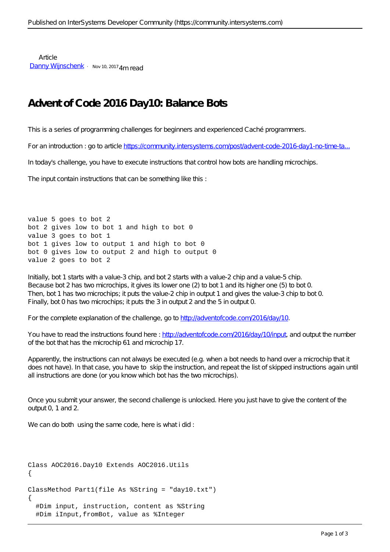Article [Danny Wijnschenk](https://community.intersystems.com/user/danny-wijnschenk) · Nov 10, 2017 4m read

## **Advent of Code 2016 Day10: Balance Bots**

This is a series of programming challenges for beginners and experienced Caché programmers.

For an introduction : go to article https://community.intersystems.com/post/advent-code-2016-day1-no-time-ta..

In today's challenge, you have to execute instructions that control how bots are handling microchips.

The input contain instructions that can be something like this :

value 5 goes to bot 2 bot 2 gives low to bot 1 and high to bot 0 value 3 goes to bot 1 bot 1 gives low to output 1 and high to bot 0 bot 0 gives low to output 2 and high to output 0 value 2 goes to bot 2

Initially, bot 1 starts with a value-3 chip, and bot 2 starts with a value-2 chip and a value-5 chip. Because bot 2 has two microchips, it gives its lower one (2) to bot 1 and its higher one (5) to bot 0. Then, bot 1 has two microchips; it puts the value-2 chip in output 1 and gives the value-3 chip to bot 0. Finally, bot 0 has two microchips; it puts the 3 in output 2 and the 5 in output 0.

For the complete explanation of the challenge, go to [http://adventofcode.com/2016/day/10.](http://adventofcode.com/2016/day/10)

You have to read the instructions found here : [http://adventofcode.com/2016/day/10/input,](http://adventofcode.com/2016/day/10/input) and output the number of the bot that has the microchip 61 and microchip 17.

Apparently, the instructions can not always be executed (e.g. when a bot needs to hand over a microchip that it does not have). In that case, you have to skip the instruction, and repeat the list of skipped instructions again until all instructions are done (or you know which bot has the two microchips).

Once you submit your answer, the second challenge is unlocked. Here you just have to give the content of the output 0, 1 and 2.

We can do both using the same code, here is what i did:

```
Class AOC2016.Day10 Extends AOC2016.Utils
{
ClassMethod Part1(file As %String = "day10.txt")
{
   #Dim input, instruction, content as %String
   #Dim iInput,fromBot, value as %Integer
```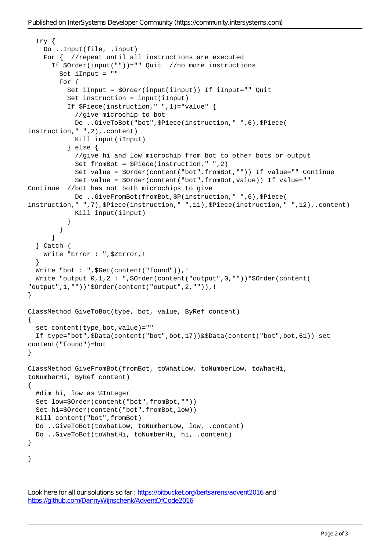```
 Try {
     Do ..Input(file, .input)
    For { //repeat until all instructions are executed
       If $Order(input(""))="" Quit //no more instructions
         Set iInput = ""
         For {
           Set iInput = $Order(input(iInput)) If iInput="" Quit
           Set instruction = input(iInput)
           If $Piece(instruction," ",1)="value" {
             //give microchip to bot
             Do ..GiveToBot("bot",$Piece(instruction," ",6),$Piece(
instruction," ",2),.content)
             Kill input(iInput)
           } else {
             //give hi and low microchip from bot to other bots or output
             Set fromBot = $Piece(instruction," ",2)
             Set value = $Order(content("bot",fromBot,"")) If value="" Continue
             Set value = $Order(content("bot",fromBot,value)) If value="" 
Continue //bot has not both microchips to give
             Do ..GiveFromBot(fromBot,$P(instruction," ",6),$Piece(
instruction," ",7),$Piece(instruction," ",11),$Piece(instruction," ",12),.content)
             Kill input(iInput)
 }
         }
       }
   } Catch {
     Write "Error : ",$ZError,!
   }
   Write "bot : ",$Get(content("found")),!
  Write "output 0,1,2: ", $Order(content("output", 0, "")) *$Order(content(
"output",1,""))*$Order(content("output",2,"")),!
}
ClassMethod GiveToBot(type, bot, value, ByRef content)
{
  set content(type, bot, value) = ""
   If type="bot",$Data(content("bot",bot,17))&$Data(content("bot",bot,61)) set 
content("found")=bot
}
ClassMethod GiveFromBot(fromBot, toWhatLow, toNumberLow, toWhatHi, 
toNumberHi, ByRef content)
{
   #dim hi, low as %Integer
   Set low=$Order(content("bot",fromBot,""))
   Set hi=$Order(content("bot",fromBot,low))
   Kill content("bot",fromBot)
   Do ..GiveToBot(toWhatLow, toNumberLow, low, .content)
   Do ..GiveToBot(toWhatHi, toNumberHi, hi, .content)
}
}
```

```
https://bitbucket.org/bertsarens/advent2016 and
https://github.com/DannyWijnschenk/AdventOfCode2016
```